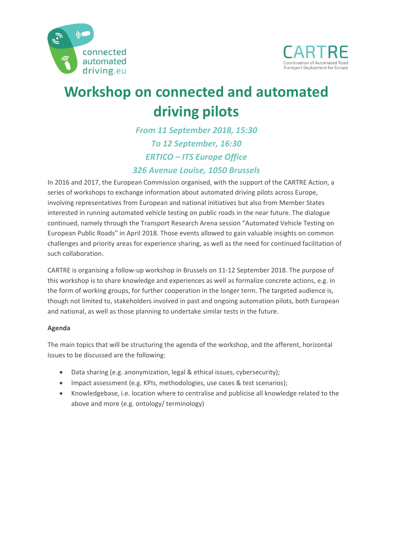



## **Workshop on connected and automated driving pilots**

*From 11 September 2018, 15:30 To 12 September, 16:30 ERTICO – ITS Europe Office 326 Avenue Louise, 1050 Brussels* 

In 2016 and 2017, the European Commission organised, with the support of the CARTRE Action, a series of workshops to exchange information about automated driving pilots across Europe, involving representatives from European and national initiatives but also from Member States interested in running automated vehicle testing on public roads in the near future. The dialogue continued, namely through the Transport Research Arena session "Automated Vehicle Testing on European Public Roads" in April 2018. Those events allowed to gain valuable insights on common challenges and priority areas for experience sharing, as well as the need for continued facilitation of such collaboration.

CARTRE is organising a follow‐up workshop in Brussels on 11‐12 September 2018. The purpose of this workshop is to share knowledge and experiences as well as formalize concrete actions, e.g. in the form of working groups, for further cooperation in the longer term. The targeted audience is, though not limited to, stakeholders involved in past and ongoing automation pilots, both European and national, as well as those planning to undertake similar tests in the future.

## **Agenda**

The main topics that will be structuring the agenda of the workshop, and the afferent, horizontal issues to be discussed are the following:

- Data sharing (e.g. anonymization, legal & ethical issues, cybersecurity);
- Impact assessment (e.g. KPIs, methodologies, use cases & test scenarios);
- Knowledgebase, i.e. location where to centralise and publicise all knowledge related to the above and more (e.g. ontology/ terminology)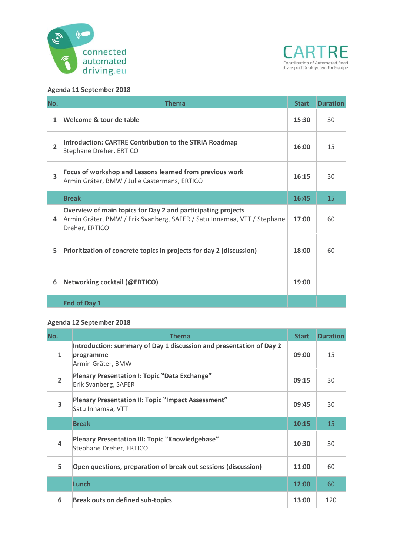



## **Agenda 11 September 2018**

| No.            | <b>Thema</b>                                                                                                                                              | <b>Start</b> | <b>Duration</b> |
|----------------|-----------------------------------------------------------------------------------------------------------------------------------------------------------|--------------|-----------------|
| $\mathbf{1}$   | Welcome & tour de table                                                                                                                                   | 15:30        | 30              |
| $\overline{2}$ | Introduction: CARTRE Contribution to the STRIA Roadmap<br>Stephane Dreher, ERTICO                                                                         | 16:00        | 15              |
| 3              | Focus of workshop and Lessons learned from previous work<br>Armin Gräter, BMW / Julie Castermans, ERTICO                                                  | 16:15        | 30              |
|                | <b>Break</b>                                                                                                                                              | 16:45        | 15              |
| 4              | Overview of main topics for Day 2 and participating projects<br>Armin Gräter, BMW / Erik Svanberg, SAFER / Satu Innamaa, VTT / Stephane<br>Dreher, ERTICO | 17:00        | 60              |
| 5              | Prioritization of concrete topics in projects for day 2 (discussion)                                                                                      | 18:00        | 60              |
| 6              | Networking cocktail (@ERTICO)                                                                                                                             | 19:00        |                 |
|                | <b>End of Day 1</b>                                                                                                                                       |              |                 |

## **Agenda 12 September 2018**

| No.                     | <b>Thema</b>                                                                                          | <b>Start</b> | <b>Duration</b> |
|-------------------------|-------------------------------------------------------------------------------------------------------|--------------|-----------------|
| $\mathbf{1}$            | Introduction: summary of Day 1 discussion and presentation of Day 2<br>programme<br>Armin Gräter, BMW | 09:00        | 15              |
| $\overline{2}$          | <b>Plenary Presentation I: Topic "Data Exchange"</b><br>Erik Svanberg, SAFER                          | 09:15        | 30              |
| $\overline{\mathbf{3}}$ | Plenary Presentation II: Topic "Impact Assessment"<br>Satu Innamaa, VTT                               | 09:45        | 30              |
|                         | <b>Break</b>                                                                                          | 10:15        | 15              |
| $\overline{\mathbf{A}}$ | <b>Plenary Presentation III: Topic "Knowledgebase"</b><br>Stephane Dreher, ERTICO                     | 10:30        | 30              |
| 5                       | Open questions, preparation of break out sessions (discussion)                                        | 11:00        | 60              |
|                         | <b>Lunch</b>                                                                                          | 12:00        | 60              |
| 6                       | <b>Break outs on defined sub-topics</b>                                                               | 13:00        | 120             |